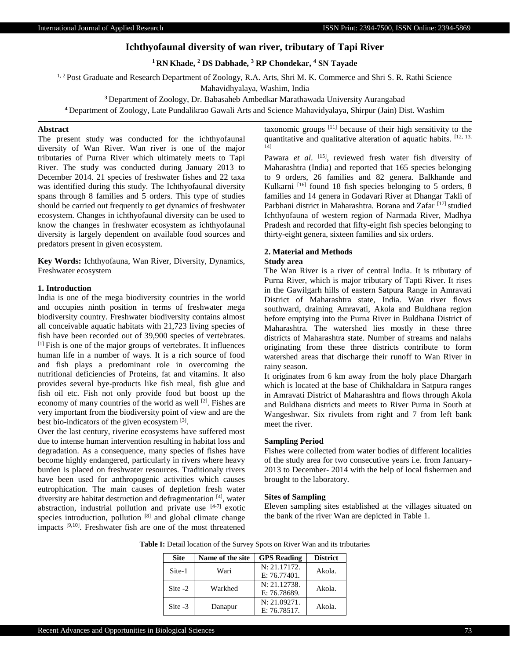# **Ichthyofaunal diversity of wan river, tributary of Tapi River**

**<sup>1</sup> RN Khade, <sup>2</sup> DS Dabhade, <sup>3</sup> RP Chondekar, <sup>4</sup> SN Tayade**

<sup>1, 2</sup> Post Graduate and Research Department of Zoology, R.A. Arts, Shri M. K. Commerce and Shri S. R. Rathi Science

Mahavidhyalaya, Washim, India

**<sup>3</sup>** Department of Zoology, Dr. Babasaheb Ambedkar Marathawada University Aurangabad

**<sup>4</sup>** Department of Zoology, Late Pundalikrao Gawali Arts and Science Mahavidyalaya, Shirpur (Jain) Dist. Washim

#### **Abstract**

The present study was conducted for the ichthyofaunal diversity of Wan River. Wan river is one of the major tributaries of Purna River which ultimately meets to Tapi River. The study was conducted during January 2013 to December 2014. 21 species of freshwater fishes and 22 taxa was identified during this study. The Ichthyofaunal diversity spans through 8 families and 5 orders. This type of studies should be carried out frequently to get dynamics of freshwater ecosystem. Changes in ichthyofaunal diversity can be used to know the changes in freshwater ecosystem as ichthyofaunal diversity is largely dependent on available food sources and predators present in given ecosystem.

**Key Words:** Ichthyofauna, Wan River, Diversity, Dynamics, Freshwater ecosystem

# **1. Introduction**

India is one of the mega biodiversity countries in the world and occupies ninth position in terms of freshwater mega biodiversity country. Freshwater biodiversity contains almost all conceivable aquatic habitats with 21,723 living species of fish have been recorded out of 39,900 species of vertebrates. [1] Fish is one of the major groups of vertebrates. It influences human life in a number of ways. It is a rich source of food and fish plays a predominant role in overcoming the nutritional deficiencies of Proteins, fat and vitamins. It also provides several bye-products like fish meal, fish glue and fish oil etc. Fish not only provide food but boost up the economy of many countries of the world as well [2]. Fishes are very important from the biodiversity point of view and are the best bio-indicators of the given ecosystem [3].

Over the last century, riverine ecosystems have suffered most due to intense human intervention resulting in habitat loss and degradation. As a consequence, many species of fishes have become highly endangered, particularly in rivers where heavy burden is placed on freshwater resources. Traditionaly rivers have been used for anthropogenic activities which causes eutrophication. The main causes of depletion fresh water diversity are habitat destruction and defragmentation [4], water abstraction, industrial pollution and private use [4-7] exotic species introduction, pollution  $[8]$  and global climate change impacts [9,10]. Freshwater fish are one of the most threatened taxonomic groups  $[11]$  because of their high sensitivity to the quantitative and qualitative alteration of aquatic habits. [12, 13, 14]

Pawara et al. <a>[15]</a>, reviewed fresh water fish diversity of Maharashtra (India) and reported that 165 species belonging to 9 orders, 26 families and 82 genera. Balkhande and Kulkarni <sup>[16]</sup> found 18 fish species belonging to 5 orders, 8 families and 14 genera in Godavari River at Dhangar Takli of Parbhani district in Maharashtra. Borana and Zafar<sup>[17]</sup> studied Ichthyofauna of western region of Narmada River, Madhya Pradesh and recorded that fifty-eight fish species belonging to thirty-eight genera, sixteen families and six orders.

# **2. Material and Methods**

## **Study area**

The Wan River is a river of central India. It is tributary of Purna River, which is major tributary of Tapti River. It rises in the Gawilgarh hills of eastern Satpura Range in Amravati District of Maharashtra state, India. Wan river flows southward, draining Amravati, Akola and Buldhana region before emptying into the Purna River in Buldhana District of Maharashtra. The watershed lies mostly in these three districts of Maharashtra state. Number of streams and nalahs originating from these three districts contribute to form watershed areas that discharge their runoff to Wan River in rainy season.

It originates from 6 km away from the holy place Dhargarh which is located at the base of Chikhaldara in Satpura ranges in Amravati District of Maharashtra and flows through Akola and Buldhana districts and meets to River Purna in South at Wangeshwar. Six rivulets from right and 7 from left bank meet the river.

## **Sampling Period**

Fishes were collected from water bodies of different localities of the study area for two consecutive years i.e. from January-2013 to December- 2014 with the help of local fishermen and brought to the laboratory.

# **Sites of Sampling**

Eleven sampling sites established at the villages situated on the bank of the river Wan are depicted in Table 1.

**Table I:** Detail location of the Survey Spots on River Wan and its tributaries

| <b>Site</b> | Name of the site | <b>GPS</b> Reading | <b>District</b> |  |
|-------------|------------------|--------------------|-----------------|--|
| Site-1      | Wari             | N: 21.17172.       |                 |  |
|             |                  | E: 76.77401.       | Akola.          |  |
| Site $-2$   | Warkhed          | N: 21.12738.       | Akola.          |  |
|             |                  | E: 76.78689.       |                 |  |
| Site $-3$   | Danapur          | N: 21.09271.       | Akola.          |  |
|             |                  | E: 76.78517.       |                 |  |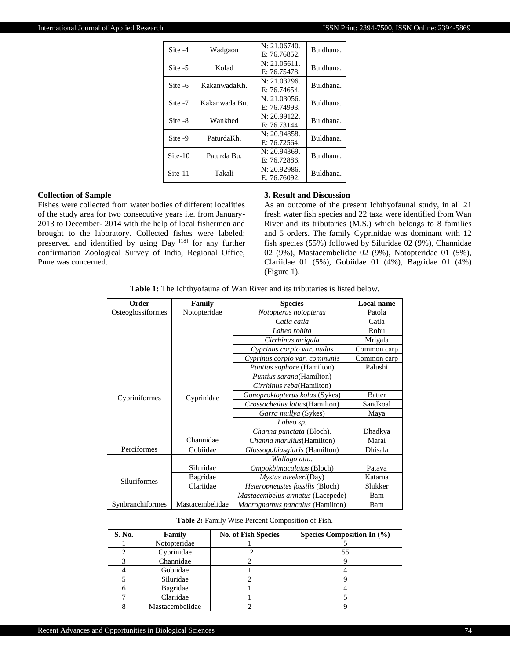| Site -4   | Wadgaon       | N: 21.06740.<br>E: 76.76852. | Buldhana. |
|-----------|---------------|------------------------------|-----------|
| Site $-5$ | Kolad         | N: 21.05611.<br>E: 76.75478. | Buldhana. |
| Site -6   | KakanwadaKh.  | N: 21.03296.<br>E: 76.74654. | Buldhana. |
| Site -7   | Kakanwada Bu. | N: 21.03056.<br>E: 76.74993. | Buldhana. |
| Site -8   | Wankhed       | N: 20.99122.<br>E: 76.73144. | Buldhana. |
| Site -9   | PaturdaKh.    | N: 20.94858.<br>E: 76.72564. | Buldhana. |
| $Site-10$ | Paturda Bu.   | N: 20.94369.<br>E: 76.72886. | Buldhana. |
| Site-11   | Takali        | N: 20.92986.<br>E: 76.76092. | Buldhana. |

#### **Collection of Sample**

Fishes were collected from water bodies of different localities of the study area for two consecutive years i.e. from January-2013 to December- 2014 with the help of local fishermen and brought to the laboratory. Collected fishes were labeled; preserved and identified by using Day [18] for any further confirmation Zoological Survey of India, Regional Office, Pune was concerned.

#### **3. Result and Discussion**

As an outcome of the present Ichthyofaunal study, in all 21 fresh water fish species and 22 taxa were identified from Wan River and its tributaries (M.S.) which belongs to 8 families and 5 orders. The family Cyprinidae was dominant with 12 fish species (55%) followed by Siluridae 02 (9%), Channidae 02 (9%), Mastacembelidae 02 (9%), Notopteridae 01 (5%), Clariidae 01 (5%), Gobiidae 01 (4%), Bagridae 01 (4%) (Figure 1).

|  |  |  |  |  |  | <b>Table 1:</b> The Ichthyofauna of Wan River and its tributaries is listed below. |
|--|--|--|--|--|--|------------------------------------------------------------------------------------|
|--|--|--|--|--|--|------------------------------------------------------------------------------------|

| Order               | Family          | <b>Species</b>                         | <b>Local name</b> |
|---------------------|-----------------|----------------------------------------|-------------------|
| Osteoglossiformes   | Notopteridae    | Notopterus notopterus                  | Patola            |
|                     |                 | Catla catla                            | Catla             |
|                     |                 | Labeo rohita                           | Rohu              |
|                     |                 | Cirrhinus mrigala                      | Mrigala           |
|                     |                 | Cyprinus corpio var. nudus             | Common carp       |
|                     |                 | Cyprinus corpio var. communis          | Common carp       |
|                     |                 | <i>Puntius sophore</i> (Hamilton)      | Palushi           |
|                     |                 | Puntius sarana(Hamilton)               |                   |
|                     |                 | Cirrhinus reba(Hamilton)               |                   |
| Cypriniformes       | Cyprinidae      | Gonoproktopterus kolus (Sykes)         | <b>Batter</b>     |
|                     |                 | Crossocheilus latius (Hamilton)        | Sandkoal          |
|                     |                 | Garra mullya (Sykes)                   | Maya              |
|                     |                 | Labeo sp.                              |                   |
|                     |                 | Channa punctata (Bloch).               | Dhadkya           |
|                     | Channidae       | <i>Channa marulius</i> (Hamilton)      | Marai             |
| Perciformes         | Gobiidae        | Glossogobiusgiuris (Hamilton)          | Dhisala           |
|                     |                 | Wallago attu.                          |                   |
|                     | Siluridae       | Ompokbimaculatus (Bloch)               | Patava            |
| <b>Siluriformes</b> | Bagridae        | Mystus bleekeri(Day)                   | Katarna           |
|                     | Clariidae       | <i>Heteropneustes fossilis</i> (Bloch) | Shikker           |
|                     |                 | Mastacembelus armatus (Lacepede)       | Bam               |
| Synbranchiformes    | Mastacembelidae | Macrognathus pancalus (Hamilton)       | Bam               |

#### **Table 2:** Family Wise Percent Composition of Fish.

| S. No. | Family          | <b>No. of Fish Species</b> | Species Composition In $(\% )$ |
|--------|-----------------|----------------------------|--------------------------------|
|        | Notopteridae    |                            |                                |
|        | Cyprinidae      |                            | 55                             |
|        | Channidae       |                            |                                |
|        | Gobiidae        |                            |                                |
|        | Siluridae       |                            |                                |
|        | Bagridae        |                            |                                |
|        | Clariidae       |                            |                                |
|        | Mastacembelidae |                            |                                |